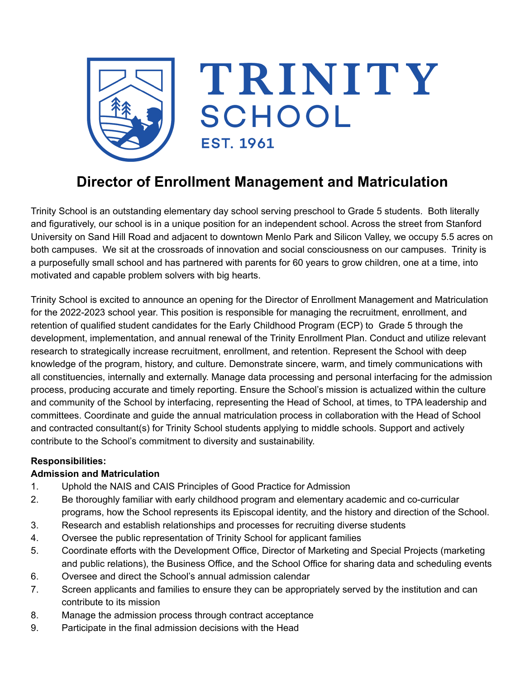

# **Director of Enrollment Management and Matriculation**

Trinity School is an outstanding elementary day school serving preschool to Grade 5 students. Both literally and figuratively, our school is in a unique position for an independent school. Across the street from Stanford University on Sand Hill Road and adjacent to downtown Menlo Park and Silicon Valley, we occupy 5.5 acres on both campuses. We sit at the crossroads of innovation and social consciousness on our campuses. Trinity is a purposefully small school and has partnered with parents for 60 years to grow children, one at a time, into motivated and capable problem solvers with big hearts.

Trinity School is excited to announce an opening for the Director of Enrollment Management and Matriculation for the 2022-2023 school year. This position is responsible for managing the recruitment, enrollment, and retention of qualified student candidates for the Early Childhood Program (ECP) to Grade 5 through the development, implementation, and annual renewal of the Trinity Enrollment Plan. Conduct and utilize relevant research to strategically increase recruitment, enrollment, and retention. Represent the School with deep knowledge of the program, history, and culture. Demonstrate sincere, warm, and timely communications with all constituencies, internally and externally. Manage data processing and personal interfacing for the admission process, producing accurate and timely reporting. Ensure the School's mission is actualized within the culture and community of the School by interfacing, representing the Head of School, at times, to TPA leadership and committees. Coordinate and guide the annual matriculation process in collaboration with the Head of School and contracted consultant(s) for Trinity School students applying to middle schools. Support and actively contribute to the School's commitment to diversity and sustainability.

#### **Responsibilities:**

#### **Admission and Matriculation**

- 1. Uphold the NAIS and CAIS Principles of Good Practice for Admission
- 2. Be thoroughly familiar with early childhood program and elementary academic and co-curricular programs, how the School represents its Episcopal identity, and the history and direction of the School.
- 3. Research and establish relationships and processes for recruiting diverse students
- 4. Oversee the public representation of Trinity School for applicant families
- 5. Coordinate efforts with the Development Office, Director of Marketing and Special Projects (marketing and public relations), the Business Office, and the School Office for sharing data and scheduling events
- 6. Oversee and direct the School's annual admission calendar
- 7. Screen applicants and families to ensure they can be appropriately served by the institution and can contribute to its mission
- 8. Manage the admission process through contract acceptance
- 9. Participate in the final admission decisions with the Head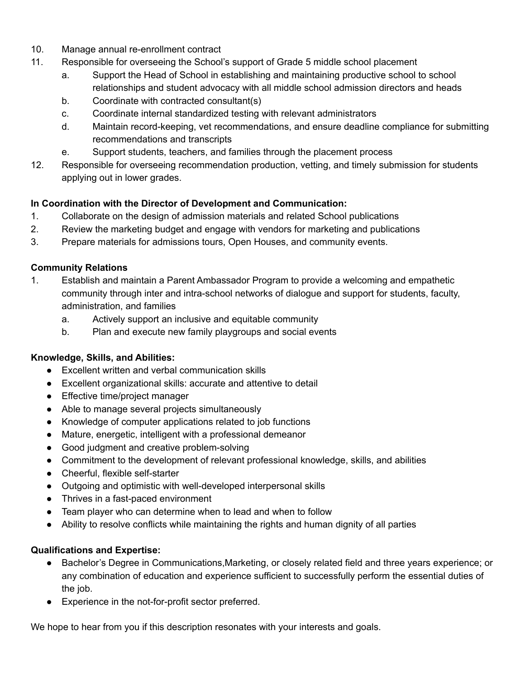- 10. Manage annual re-enrollment contract
- 11. Responsible for overseeing the School's support of Grade 5 middle school placement
	- a. Support the Head of School in establishing and maintaining productive school to school relationships and student advocacy with all middle school admission directors and heads
	- b. Coordinate with contracted consultant(s)
	- c. Coordinate internal standardized testing with relevant administrators
	- d. Maintain record-keeping, vet recommendations, and ensure deadline compliance for submitting recommendations and transcripts
	- e. Support students, teachers, and families through the placement process
- 12. Responsible for overseeing recommendation production, vetting, and timely submission for students applying out in lower grades.

## **In Coordination with the Director of Development and Communication:**

- 1. Collaborate on the design of admission materials and related School publications
- 2. Review the marketing budget and engage with vendors for marketing and publications
- 3. Prepare materials for admissions tours, Open Houses, and community events.

## **Community Relations**

- 1. Establish and maintain a Parent Ambassador Program to provide a welcoming and empathetic community through inter and intra-school networks of dialogue and support for students, faculty, administration, and families
	- a. Actively support an inclusive and equitable community
	- b. Plan and execute new family playgroups and social events

#### **Knowledge, Skills, and Abilities:**

- Excellent written and verbal communication skills
- Excellent organizational skills: accurate and attentive to detail
- Effective time/project manager
- Able to manage several projects simultaneously
- Knowledge of computer applications related to job functions
- Mature, energetic, intelligent with a professional demeanor
- Good judgment and creative problem-solving
- Commitment to the development of relevant professional knowledge, skills, and abilities
- Cheerful, flexible self-starter
- Outgoing and optimistic with well-developed interpersonal skills
- Thrives in a fast-paced environment
- Team player who can determine when to lead and when to follow
- Ability to resolve conflicts while maintaining the rights and human dignity of all parties

# **Qualifications and Expertise:**

- Bachelor's Degree in Communications,Marketing, or closely related field and three years experience; or any combination of education and experience sufficient to successfully perform the essential duties of the job.
- Experience in the not-for-profit sector preferred.

We hope to hear from you if this description resonates with your interests and goals.